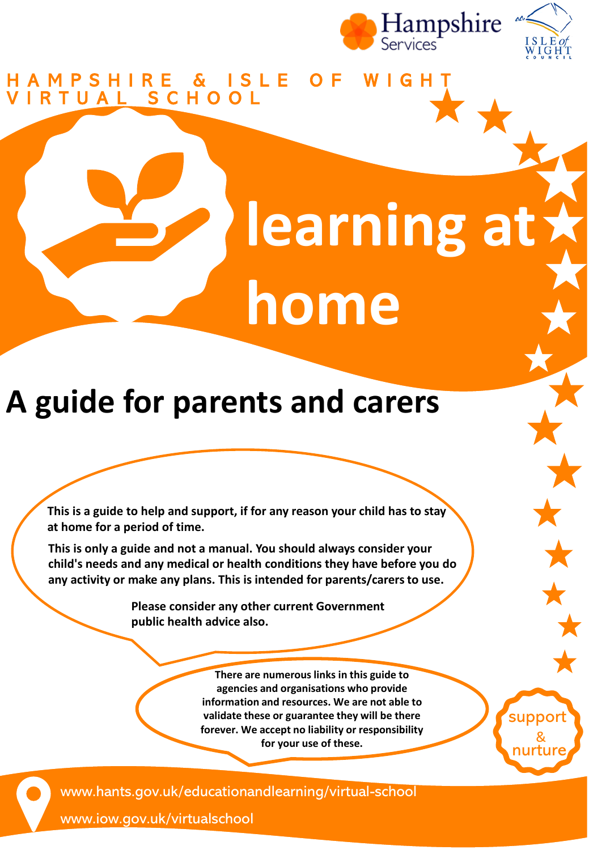

#### H A M P S H I R E & I S L E O F W I G H T V I R T U A L S C H O O L

# **learning at home**

### **A guide for parents and carers**

**This is a guide to help and support, if for any reason your child has to stay at home for a period of time.** 

**This is only a guide and not a manual. You should always consider your child's needs and any medical or health conditions they have before you do any activity or make any plans. This is intended for parents/carers to use.**

> **Please consider any other current Government public health advice also.**

> > **There are numerous links in this guide to agencies and organisations who provide information and resources. We are not able to validate these or guarantee they will be there forever. We accept no liability or responsibility for your use of these.**

nurture &

suppor

www.hants.gov.uk/educationandlearning/virtual-school

www.iow.gov.uk/virtualschool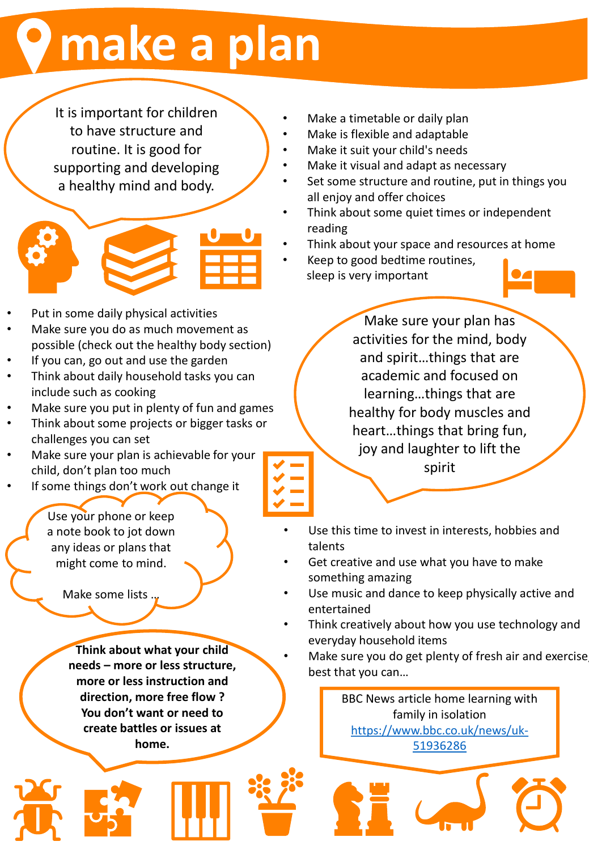### **make a plan**

It is important for children to have structure and routine. It is good for supporting and developing a healthy mind and body.



- Put in some daily physical activities
- Make sure you do as much movement as possible (check out the healthy body section)
- If you can, go out and use the garden
- Think about daily household tasks you can include such as cooking
- Make sure you put in plenty of fun and games
- Think about some projects or bigger tasks or challenges you can set
- Make sure your plan is achievable for your child, don't plan too much
- If some things don't work out change it

Use your phone or keep a note book to jot down any ideas or plans that might come to mind.

Make some lists …

**Think about what your child needs – more or less structure, more or less instruction and direction, more free flow ? You don't want or need to create battles or issues at home.**

- Make a timetable or daily plan
- Make is flexible and adaptable
- Make it suit your child's needs
- Make it visual and adapt as necessary
- Set some structure and routine, put in things you all enjoy and offer choices
- Think about some quiet times or independent reading
- Think about your space and resources at home
- Keep to good bedtime routines, sleep is very important

Make sure your plan has activities for the mind, body and spirit…things that are academic and focused on learning…things that are healthy for body muscles and heart…things that bring fun, joy and laughter to lift the spirit

- Use this time to invest in interests, hobbies and talents
- Get creative and use what you have to make something amazing
- Use music and dance to keep physically active and entertained
- Think creatively about how you use technology and everyday household items
- Make sure you do get plenty of fresh air and exercise best that you can…

BBC News article home learning with family in isolation [https://www.bbc.co.uk/news/uk-](https://www.bbc.co.uk/news/uk-51936286)51936286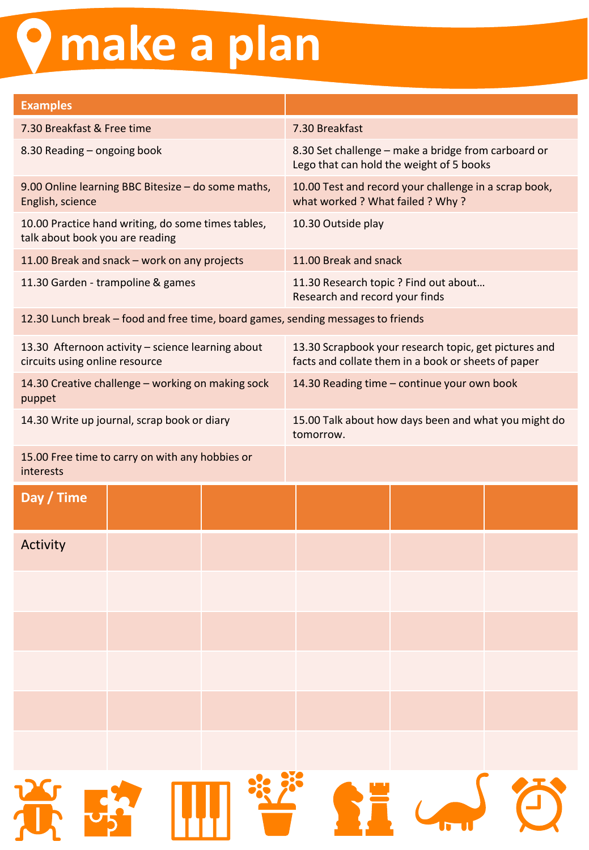## **make a plan**

| <b>Examples</b>                                                                  |                                                    |  |                                                                                                              |                             |  |
|----------------------------------------------------------------------------------|----------------------------------------------------|--|--------------------------------------------------------------------------------------------------------------|-----------------------------|--|
| 7.30 Breakfast & Free time                                                       |                                                    |  | 7.30 Breakfast                                                                                               |                             |  |
| 8.30 Reading - ongoing book                                                      |                                                    |  | 8.30 Set challenge - make a bridge from carboard or<br>Lego that can hold the weight of 5 books              |                             |  |
| English, science                                                                 | 9.00 Online learning BBC Bitesize - do some maths, |  | 10.00 Test and record your challenge in a scrap book,<br>what worked ? What failed ? Why?                    |                             |  |
| talk about book you are reading                                                  | 10.00 Practice hand writing, do some times tables, |  | 10.30 Outside play                                                                                           |                             |  |
|                                                                                  | 11.00 Break and snack - work on any projects       |  | 11.00 Break and snack                                                                                        |                             |  |
|                                                                                  | 11.30 Garden - trampoline & games                  |  | 11.30 Research topic ? Find out about<br>Research and record your finds                                      |                             |  |
| 12.30 Lunch break - food and free time, board games, sending messages to friends |                                                    |  |                                                                                                              |                             |  |
| circuits using online resource                                                   | 13.30 Afternoon activity - science learning about  |  | 13.30 Scrapbook your research topic, get pictures and<br>facts and collate them in a book or sheets of paper |                             |  |
| puppet                                                                           | 14.30 Creative challenge - working on making sock  |  | 14.30 Reading time - continue your own book                                                                  |                             |  |
|                                                                                  | 14.30 Write up journal, scrap book or diary        |  | 15.00 Talk about how days been and what you might do<br>tomorrow.                                            |                             |  |
| 15.00 Free time to carry on with any hobbies or<br>interests                     |                                                    |  |                                                                                                              |                             |  |
| Day / Time                                                                       |                                                    |  |                                                                                                              |                             |  |
| <b>Activity</b>                                                                  |                                                    |  |                                                                                                              |                             |  |
|                                                                                  |                                                    |  |                                                                                                              |                             |  |
|                                                                                  |                                                    |  |                                                                                                              |                             |  |
|                                                                                  |                                                    |  |                                                                                                              |                             |  |
|                                                                                  |                                                    |  |                                                                                                              |                             |  |
|                                                                                  |                                                    |  |                                                                                                              |                             |  |
|                                                                                  |                                                    |  |                                                                                                              |                             |  |
|                                                                                  |                                                    |  |                                                                                                              | <b>苏秀 哪<sup>装</sup> 经 全</b> |  |
|                                                                                  |                                                    |  |                                                                                                              |                             |  |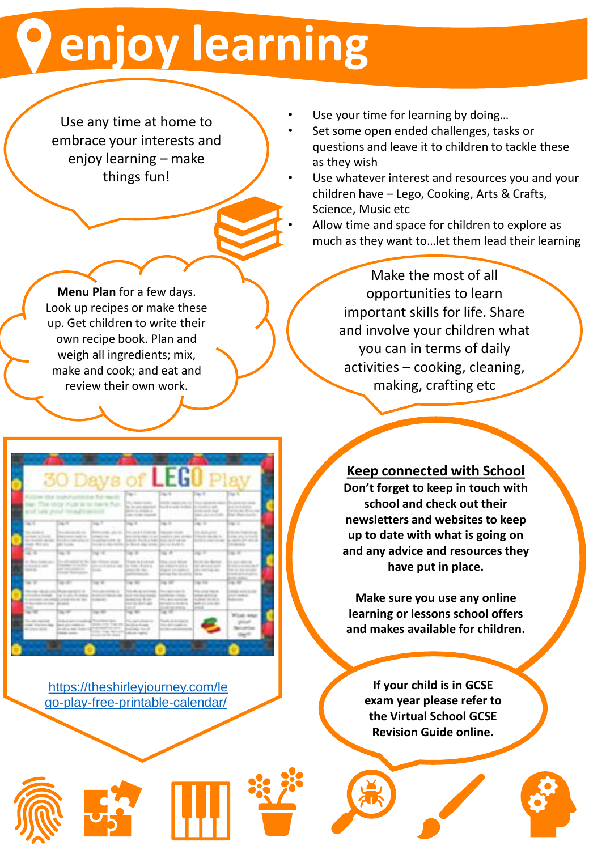### **enjoy learning**

Use any time at home to embrace your interests and enjoy learning – make things fun!

- Use your time for learning by doing...
	- Set some open ended challenges, tasks or questions and leave it to children to tackle these as they wish
- Use whatever interest and resources you and your children have – Lego, Cooking, Arts & Crafts, Science, Music etc
	- Allow time and space for children to explore as much as they want to…let them lead their learning

Make the most of all opportunities to learn important skills for life. Share and involve your children what you can in terms of daily activities – cooking, cleaning, making, crafting etc

**Menu Plan** for a few days. Look up recipes or make these up. Get children to write their own recipe book. Plan and weigh all ingredients; mix, make and cook; and eat and review their own work.



**Don't forget to keep in touch with school and check out their** 

**newsletters and websites to keep up to date with what is going on and any advice and resources they have put in place.**

**Keep connected with School**

**Make sure you use any online learning or lessons school offers and makes available for children.** 

https://theshirleyjourney.com/le [go-play-free-printable-calendar/](https://theshirleyjourney.com/lego-play-free-printable-calendar/)

**If your child is in GCSE exam year please refer to the Virtual School GCSE Revision Guide online.**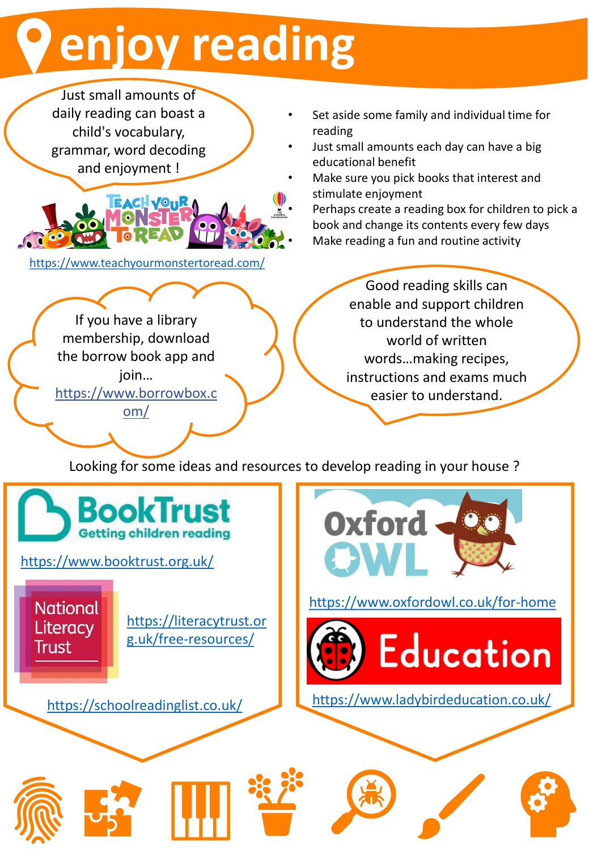## **enjoy reading**

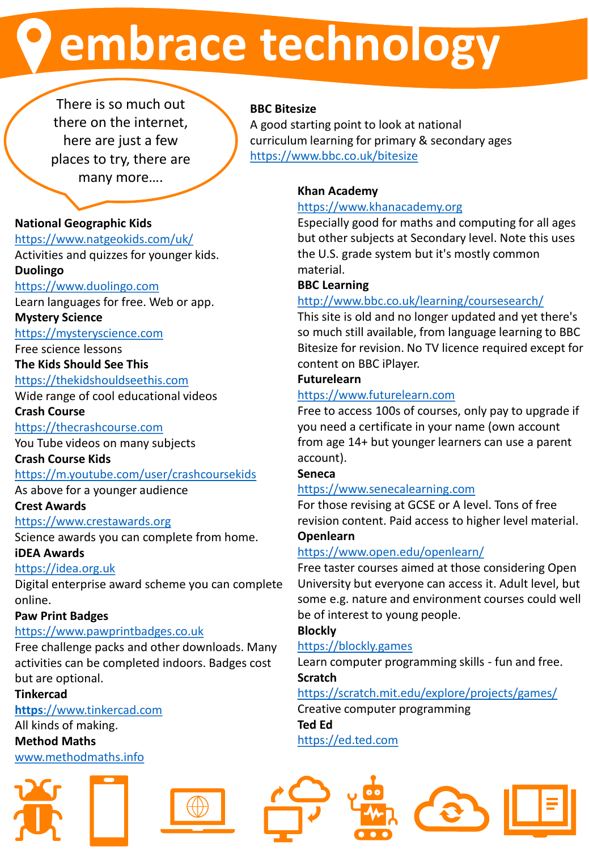### **embrace technology**

There is so much out there on the internet, here are just a few places to try, there are many more….

#### **BBC Bitesize**

A good starting point to look at national curriculum learning for primary & secondary ages <https://www.bbc.co.uk/bitesize>

#### **Khan Academy**

#### [https://www.khanacademy.org](https://www.khanacademy.org/)

Especially good for maths and computing for all ages but other subjects at Secondary level. Note this uses the U.S. grade system but it's mostly common material.

#### **BBC Learning**

#### <http://www.bbc.co.uk/learning/coursesearch/>

This site is old and no longer updated and yet there's so much still available, from language learning to BBC Bitesize for revision. No TV licence required except for content on BBC iPlayer.

#### **Futurelearn**

#### [https://www.futurelearn.com](https://www.futurelearn.com/)

Free to access 100s of courses, only pay to upgrade if you need a certificate in your name (own account from age 14+ but younger learners can use a parent account).

#### **Seneca**

#### [https://www.senecalearning.com](https://www.senecalearning.com/)

For those revising at GCSE or A level. Tons of free revision content. Paid access to higher level material. **Openlearn**

#### <https://www.open.edu/openlearn/>

Free taster courses aimed at those considering Open University but everyone can access it. Adult level, but some e.g. nature and environment courses could well be of interest to young people.

#### **Blockly**

#### [https://blockly.games](https://blockly.games/)

Learn computer programming skills - fun and free. **Scratch**

#### <https://scratch.mit.edu/explore/projects/games/>

Creative computer programming **Ted Ed** [https://ed.ted.com](https://ed.ted.com/)



#### **National Geographic Kids**

#### <https://www.natgeokids.com/uk/>

Activities and quizzes for younger kids. **Duolingo**

#### [https://www.duolingo.com](https://www.duolingo.com/)

Learn languages for free. Web or app.

#### **Mystery Science**

[https://mysteryscience.com](https://mysteryscience.com/)

#### Free science lessons

**The Kids Should See This**

[https://thekidshouldseethis.com](https://thekidshouldseethis.com/)

Wide range of cool educational videos

**Crash Course**

#### [https://thecrashcourse.com](https://thecrashcourse.com/)

You Tube videos on many subjects

#### **Crash Course Kids**

#### <https://m.youtube.com/user/crashcoursekids>

As above for a younger audience

#### **Crest Awards**

#### [https://www.crestawards.org](https://www.crestawards.org/)

Science awards you can complete from home.

#### **iDEA Awards**

#### [https://idea.org.uk](https://idea.org.uk/)

Digital enterprise award scheme you can complete online.

#### **Paw Print Badges**

#### [https://www.pawprintbadges.co.uk](https://www.pawprintbadges.co.uk/)

Free challenge packs and other downloads. Many activities can be completed indoors. Badges cost but are optional.

#### **Tinkercad**

#### **https**[://www.tinkercad.com](https://www.tinkercad.com/)

All kinds of making. **Method Maths** [www.methodmaths.info](http://www.methodmaths.info/)



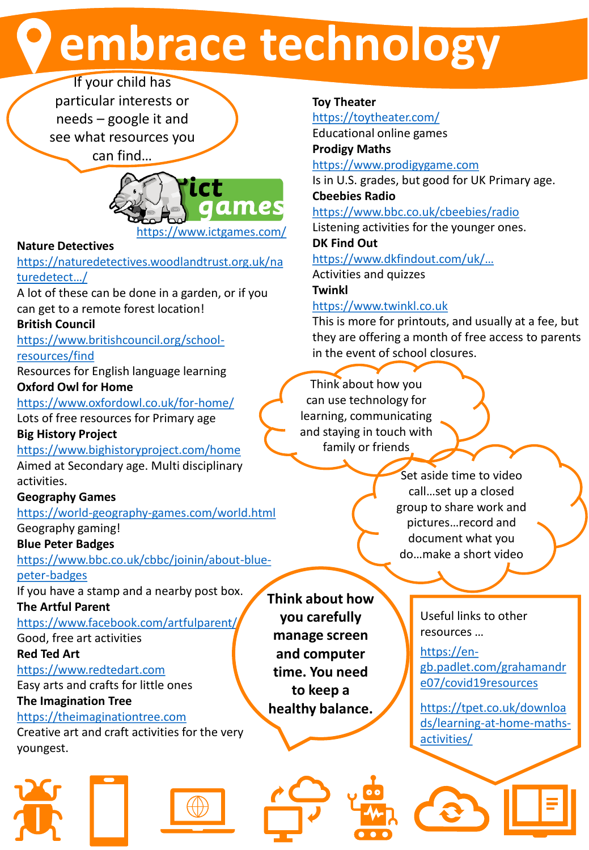### **embrace technology**

If your child has particular interests or needs – google it and see what resources you can find…



https://www.ictgames.com/

#### **Nature Detectives**

[https://naturedetectives.woodlandtrust.org.uk/na](https://naturedetectives.woodlandtrust.org.uk/naturedetect…/) turedetect…/

A lot of these can be done in a garden, or if you can get to a remote forest location!

#### **British Council**

[https://www.britishcouncil.org/school-](https://www.britishcouncil.org/school-resources/find)

resources/find

Resources for English language learning **Oxford Owl for Home**

<https://www.oxfordowl.co.uk/for-home/>

Lots of free resources for Primary age

#### **Big History Project**

<https://www.bighistoryproject.com/home> Aimed at Secondary age. Multi disciplinary activities.

#### **Geography Games**

<https://world-geography-games.com/world.html> Geography gaming!

#### **Blue Peter Badges**

[https://www.bbc.co.uk/cbbc/joinin/about-blue](https://www.bbc.co.uk/cbbc/joinin/about-blue-peter-badges)peter-badges

If you have a stamp and a nearby post box.

**The Artful Parent** <https://www.facebook.com/artfulparent/>

Good, free art activities

**Red Ted Art**

[https://www.redtedart.com](https://www.redtedart.com/)

Easy arts and crafts for little ones

#### **The Imagination Tree**

[https://theimaginationtree.com](https://theimaginationtree.com/)

Creative art and craft activities for the very youngest.





#### **Toy Theater**

<https://toytheater.com/> Educational online games **Prodigy Maths**

[https://www.prodigygame.com](https://www.prodigygame.com/)

Is in U.S. grades, but good for UK Primary age. **Cbeebies Radio**

<https://www.bbc.co.uk/cbeebies/radio>

Listening activities for the younger ones.

**DK Find Out**

[https://www.dkfindout.com/uk](https://www.dkfindout.com/uk/…)/… Activities and quizzes

**Twinkl**

**Think about how you carefully manage screen and computer time. You need to keep a healthy balance.**

#### [https://www.twinkl.co.uk](https://www.twinkl.co.uk/)

This is more for printouts, and usually at a fee, but they are offering a month of free access to parents in the event of school closures.

Think about how you can use technology for learning, communicating and staying in touch with family or friends

> Set aside time to video call…set up a closed group to share work and pictures…record and document what you do…make a short video

> > Useful links to other resources …

https://en[gb.padlet.com/grahamandr](https://en-gb.padlet.com/grahamandre07/covid19resources) e07/covid19resources

https://tpet.co.uk/downloa [ds/learning-at-home-maths](https://tpet.co.uk/downloads/learning-at-home-maths-activities/)activities/

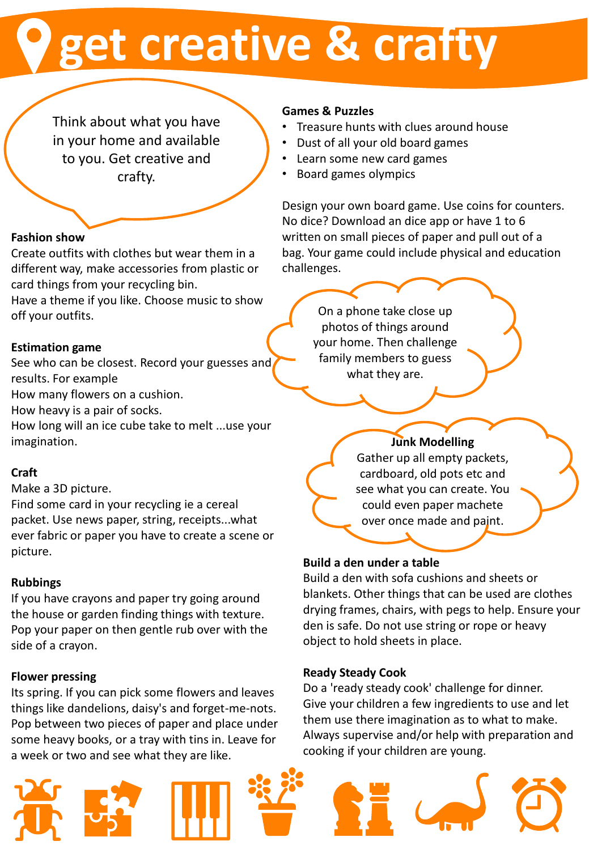### **get creative & crafty**

Think about what you have in your home and available to you. Get creative and crafty.

#### **Fashion show**

Create outfits with clothes but wear them in a different way, make accessories from plastic or card things from your recycling bin.

Have a theme if you like. Choose music to show off your outfits.

#### **Estimation game**

See who can be closest. Record your guesses and results. For example

How many flowers on a cushion.

How heavy is a pair of socks.

How long will an ice cube take to melt ...use your imagination.

#### **Craft**

Make a 3D picture.

Find some card in your recycling ie a cereal packet. Use news paper, string, receipts...what ever fabric or paper you have to create a scene or picture.

#### **Rubbings**

If you have crayons and paper try going around the house or garden finding things with texture. Pop your paper on then gentle rub over with the side of a crayon.

#### **Flower pressing**

Its spring. If you can pick some flowers and leaves things like dandelions, daisy's and forget-me-nots. Pop between two pieces of paper and place under some heavy books, or a tray with tins in. Leave for a week or two and see what they are like.

#### **Games & Puzzles**

- Treasure hunts with clues around house
- Dust of all your old board games
- Learn some new card games
- Board games olympics

Design your own board game. Use coins for counters. No dice? Download an dice app or have 1 to 6 written on small pieces of paper and pull out of a bag. Your game could include physical and education challenges.

On a phone take close up photos of things around your home. Then challenge family members to guess what they are.

#### **Junk Modelling**

Gather up all empty packets, cardboard, old pots etc and see what you can create. You could even paper machete over once made and paint.

#### **Build a den under a table**

Build a den with sofa cushions and sheets or blankets. Other things that can be used are clothes drying frames, chairs, with pegs to help. Ensure your den is safe. Do not use string or rope or heavy object to hold sheets in place.

#### **Ready Steady Cook**

Do a 'ready steady cook' challenge for dinner. Give your children a few ingredients to use and let them use there imagination as to what to make. Always supervise and/or help with preparation and cooking if your children are young.

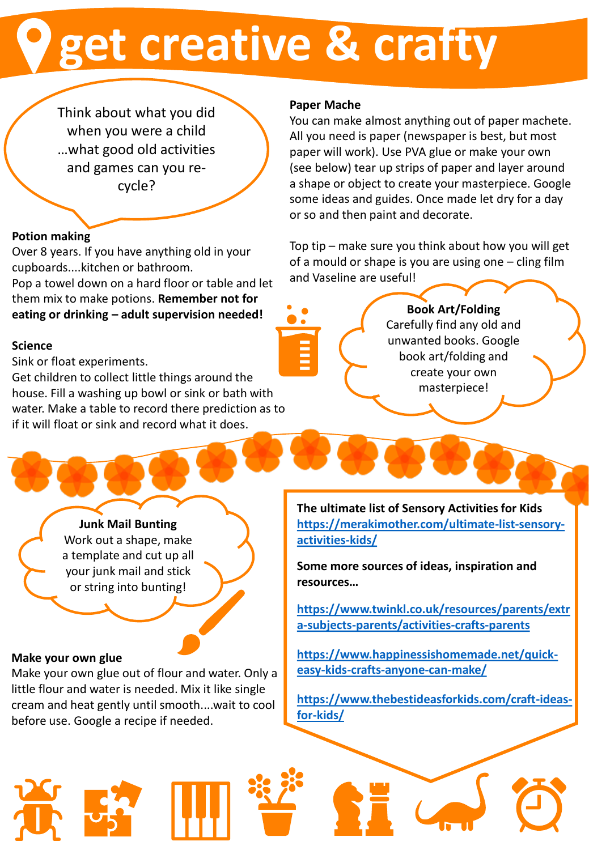### **get creative & crafty**

Think about what you did when you were a child …what good old activities and games can you recycle?

#### **Potion making**

Over 8 years. If you have anything old in your cupboards....kitchen or bathroom.

Pop a towel down on a hard floor or table and let them mix to make potions. **Remember not for eating or drinking – adult supervision needed!** 

#### **Science**

Sink or float experiments.

Get children to collect little things around the house. Fill a washing up bowl or sink or bath with water. Make a table to record there prediction as to if it will float or sink and record what it does.

#### **Paper Mache**

You can make almost anything out of paper machete. All you need is paper (newspaper is best, but most paper will work). Use PVA glue or make your own (see below) tear up strips of paper and layer around a shape or object to create your masterpiece. Google some ideas and guides. Once made let dry for a day or so and then paint and decorate.

Top tip – make sure you think about how you will get of a mould or shape is you are using one – cling film and Vaseline are useful!

#### **Book Art/Folding** Carefully find any old and unwanted books. Google book art/folding and create your own masterpiece!

**Junk Mail Bunting**

Work out a shape, make a template and cut up all your junk mail and stick or string into bunting!

#### **Make your own glue**

Make your own glue out of flour and water. Only a little flour and water is needed. Mix it like single cream and heat gently until smooth....wait to cool before use. Google a recipe if needed.

**The ultimate list of Sensory Activities for Kids [https://merakimother.com/ultimate-list-sensory](https://merakimother.com/ultimate-list-sensory-activities-kids/)activities-kids/**

**Some more sources of ideas, inspiration and resources…**

**[https://www.twinkl.co.uk/resources/parents/extr](https://www.twinkl.co.uk/resources/parents/extra-subjects-parents/activities-crafts-parents) a-subjects-parents/activities-crafts-parents**

**[https://www.happinessishomemade.net/quick](https://www.happinessishomemade.net/quick-easy-kids-crafts-anyone-can-make/)easy-kids-crafts-anyone-can-make/**

**[https://www.thebestideasforkids.com/craft-ideas](https://www.thebestideasforkids.com/craft-ideas-for-kids/)for-kids/**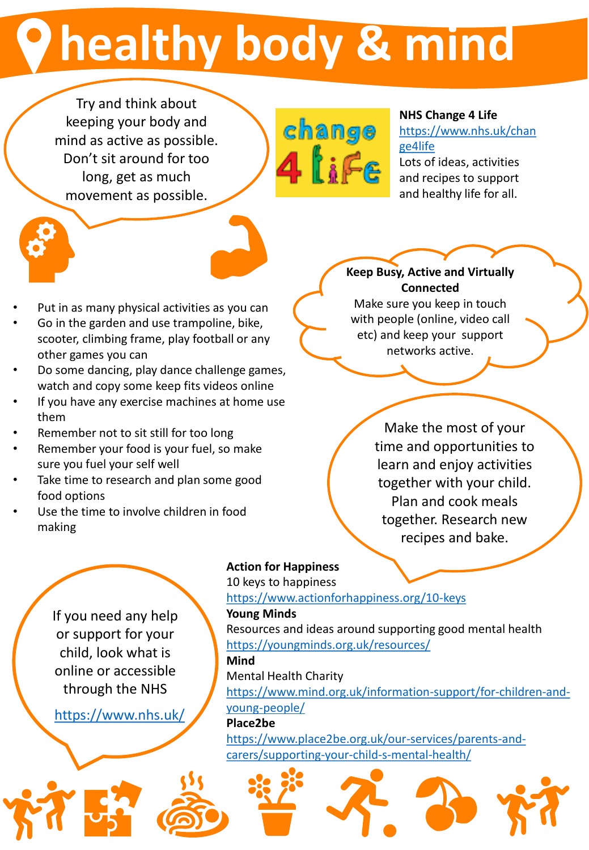## **healthy body & mind**

Try and think about keeping your body and mind as active as possible. Don't sit around for too long, get as much movement as possible.



#### **NHS Change 4 Life**

[https://www.nhs.uk/chan](https://www.nhs.uk/change4life) ge4life

Lots of ideas, activities and recipes to support and healthy life for all.

- Put in as many physical activities as you can
- Go in the garden and use trampoline, bike, scooter, climbing frame, play football or any other games you can
- Do some dancing, play dance challenge games, watch and copy some keep fits videos online
- If you have any exercise machines at home use them
- Remember not to sit still for too long
- Remember your food is your fuel, so make sure you fuel your self well
- Take time to research and plan some good food options
- Use the time to involve children in food making

#### **Keep Busy, Active and Virtually Connected**

Make sure you keep in touch with people (online, video call etc) and keep your support networks active.

> Make the most of your time and opportunities to learn and enjoy activities together with your child. Plan and cook meals together. Research new recipes and bake.

If you need any help or support for your child, look what is online or accessible through the NHS

<https://www.nhs.uk/>

#### **Action for Happiness**

10 keys to happiness <https://www.actionforhappiness.org/10-keys>

#### **Young Minds**

Resources and ideas around supporting good mental health <https://youngminds.org.uk/resources/> **Mind**  Mental Health Charity [https://www.mind.org.uk/information-support/for-children-and](https://www.mind.org.uk/information-support/for-children-and-young-people/)young-people/ **Place2be**

[https://www.place2be.org.uk/our-services/parents-and](https://www.place2be.org.uk/our-services/parents-and-carers/supporting-your-child-s-mental-health/)carers/supporting-your-child-s-mental-health/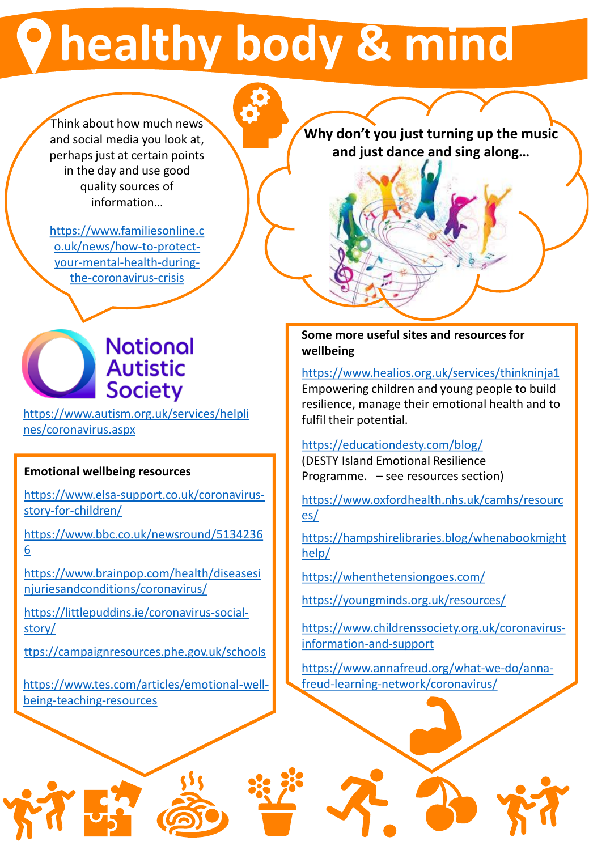### **healthy body & mind**

Think about how much news and social media you look at, perhaps just at certain points in the day and use good quality sources of information…

[https://www.familiesonline.c](https://www.familiesonline.co.uk/news/how-to-protect-your-mental-health-during-the-coronavirus-crisis) o.uk/news/how-to-protectyour-mental-health-duringthe-coronavirus-crisis



[https://www.autism.org.uk/services/helpli](https://www.autism.org.uk/services/helplines/coronavirus.aspx) nes/coronavirus.aspx

#### **Emotional wellbeing resources**

[https://www.elsa-support.co.uk/coronavirus](https://www.elsa-support.co.uk/coronavirus-story-for-children/)story-for-children/

[https://www.bbc.co.uk/newsround/5134236](https://nam01.safelinks.protection.outlook.com/?url=https%3A%2F%2Fwww.bbc.co.uk%2Fnewsround%2F51342366&data=02%7C01%7C%7Cf10a09d0cb054005b80908d7ca863cf9%7C84df9e7fe9f640afb435aaaaaaaaaaaa%7C1%7C0%7C637200550208131263&sdata=51VWXG%2F7SoiqD4zCLhzUiqj7qD3JylSrxEpekO0hfqs%3D&reserved=0) 6

[https://www.brainpop.com/health/diseasesi](https://nam01.safelinks.protection.outlook.com/?url=https%3A%2F%2Fwww.brainpop.com%2Fhealth%2Fdiseasesinjuriesandconditions%2Fcoronavirus%2F&data=02%7C01%7C%7Cf10a09d0cb054005b80908d7ca863cf9%7C84df9e7fe9f640afb435aaaaaaaaaaaa%7C1%7C0%7C637200550208141258&sdata=Rn9twL3hbnwJj930LSlfQD4PHKYdqCT9ywH7Ln5oQsc%3D&reserved=0) njuriesandconditions/coronavirus/

[https://littlepuddins.ie/coronavirus-social](https://nam01.safelinks.protection.outlook.com/?url=https%3A%2F%2Flittlepuddins.ie%2Fcoronavirus-social-story%2F&data=02%7C01%7C%7Cf10a09d0cb054005b80908d7ca863cf9%7C84df9e7fe9f640afb435aaaaaaaaaaaa%7C1%7C0%7C637200550208151256&sdata=NcMg4aSRfuNxUG3yqlKCFe571SAxWzJH9BrhgWnrvHY%3D&reserved=0)story/

[ttps://campaignresources.phe.gov.uk/schools](https://nam01.safelinks.protection.outlook.com/?url=https%3A%2F%2Fcampaignresources.phe.gov.uk%2Fschools&data=02%7C01%7C%7Cf10a09d0cb054005b80908d7ca863cf9%7C84df9e7fe9f640afb435aaaaaaaaaaaa%7C1%7C0%7C637200550208161249&sdata=eOfXPhDum7UC2Ct%2Bm84UJmAbmnPllocuOrWn%2F011JKU%3D&reserved=0)

[https://www.tes.com/articles/emotional-well](https://www.tes.com/articles/emotional-well-being-teaching-resources)being-teaching-resources

**Why don't you just turning up the music and just dance and sing along…**

#### **Some more useful sites and resources for wellbeing**

<https://www.healios.org.uk/services/thinkninja1> Empowering children and young people to build resilience, manage their emotional health and to fulfil their potential.

#### <https://educationdesty.com/blog/>

(DESTY Island Emotional Resilience Programme. – see resources section)

[https://www.oxfordhealth.nhs.uk/camhs/resourc](https://www.oxfordhealth.nhs.uk/camhs/resources/) es/

[https://hampshirelibraries.blog/whenabookmight](https://hampshirelibraries.blog/whenabookmighthelp/) help/

<https://whenthetensiongoes.com/>

<https://youngminds.org.uk/resources/>

[https://www.childrenssociety.org.uk/coronavirus](https://www.childrenssociety.org.uk/coronavirus-information-and-support)information-and-support

[https://www.annafreud.org/what-we-do/anna](https://www.annafreud.org/what-we-do/anna-freud-learning-network/coronavirus/)freud-learning-network/coronavirus/